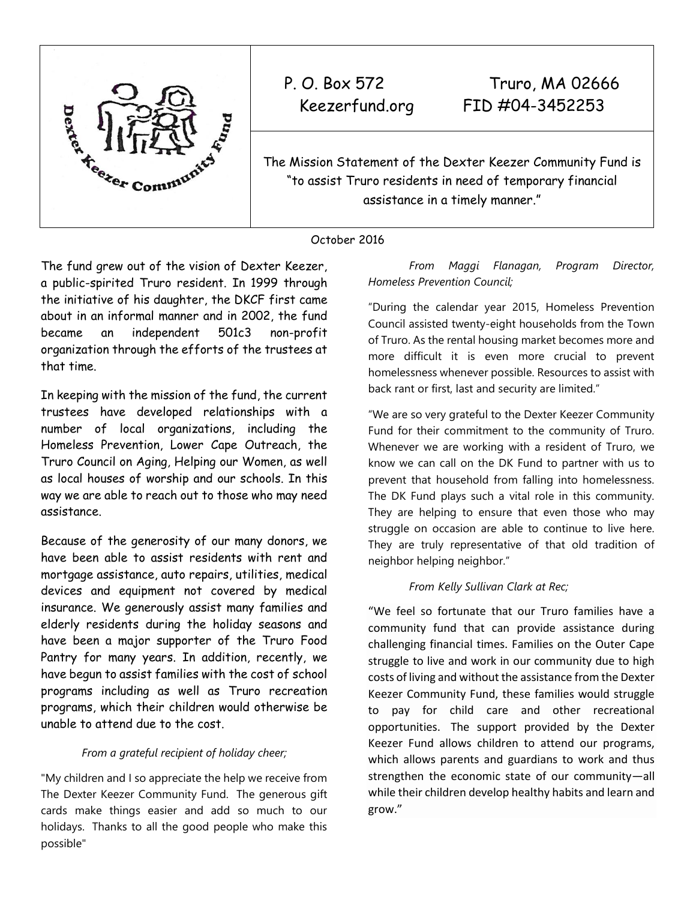

P. O. Box 572 Truro, MA 02666 Keezerfund.org FID #04-3452253

The Mission Statement of the Dexter Keezer Community Fund is "to assist Truro residents in need of temporary financial assistance in a timely manner."

## October 2016

The fund grew out of the vision of Dexter Keezer, a public-spirited Truro resident. In 1999 through the initiative of his daughter, the DKCF first came about in an informal manner and in 2002, the fund became an independent 501c3 non-profit organization through the efforts of the trustees at that time.

In keeping with the mission of the fund, the current trustees have developed relationships with a number of local organizations, including the Homeless Prevention, Lower Cape Outreach, the Truro Council on Aging, Helping our Women, as well as local houses of worship and our schools. In this way we are able to reach out to those who may need assistance.

Because of the generosity of our many donors, we have been able to assist residents with rent and mortgage assistance, auto repairs, utilities, medical devices and equipment not covered by medical insurance. We generously assist many families and elderly residents during the holiday seasons and have been a major supporter of the Truro Food Pantry for many years. In addition, recently, we have begun to assist families with the cost of school programs including as well as Truro recreation programs, which their children would otherwise be unable to attend due to the cost.

## *From a grateful recipient of holiday cheer;*

"My children and I so appreciate the help we receive from The Dexter Keezer Community Fund. The generous gift cards make things easier and add so much to our holidays. Thanks to all the good people who make this possible"

*From Maggi Flanagan, Program Director, Homeless Prevention Council;* 

"During the calendar year 2015, Homeless Prevention Council assisted twenty-eight households from the Town of Truro. As the rental housing market becomes more and more difficult it is even more crucial to prevent homelessness whenever possible. Resources to assist with back rant or first, last and security are limited."

"We are so very grateful to the Dexter Keezer Community Fund for their commitment to the community of Truro. Whenever we are working with a resident of Truro, we know we can call on the DK Fund to partner with us to prevent that household from falling into homelessness. The DK Fund plays such a vital role in this community. They are helping to ensure that even those who may struggle on occasion are able to continue to live here. They are truly representative of that old tradition of neighbor helping neighbor."

## *From Kelly Sullivan Clark at Rec;*

"We feel so fortunate that our Truro families have a community fund that can provide assistance during challenging financial times. Families on the Outer Cape struggle to live and work in our community due to high costs of living and without the assistance from the Dexter Keezer Community Fund, these families would struggle to pay for child care and other recreational opportunities. The support provided by the Dexter Keezer Fund allows children to attend our programs, which allows parents and guardians to work and thus strengthen the economic state of our community—all while their children develop healthy habits and learn and grow."